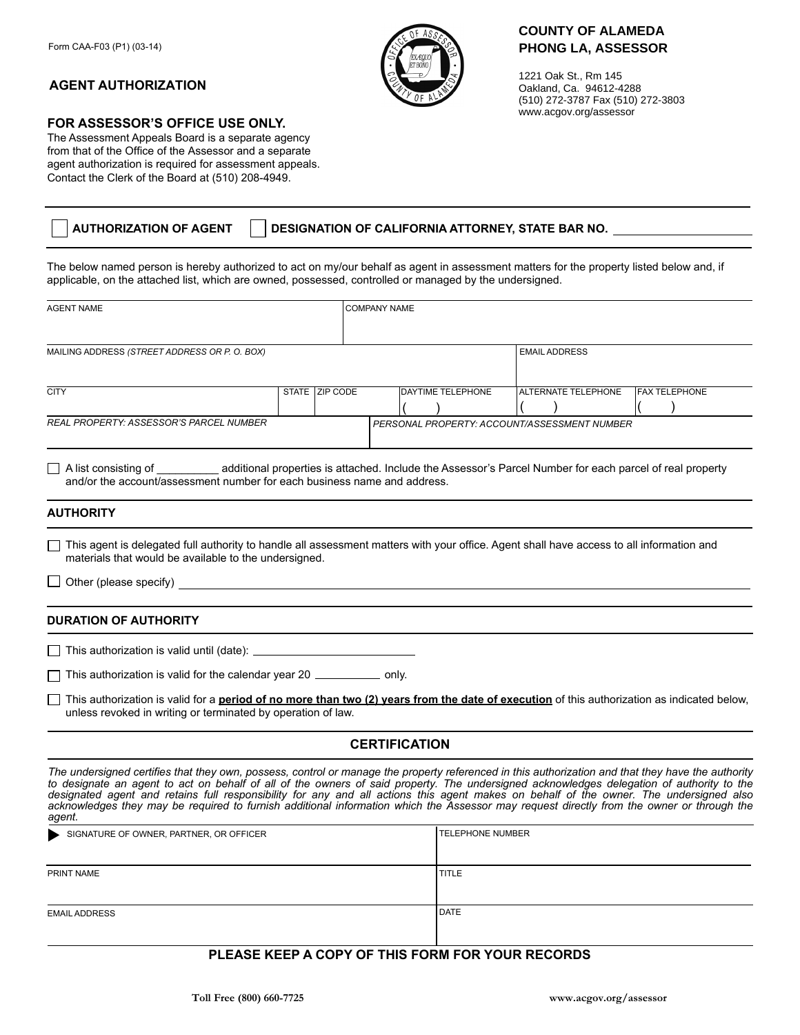## **AGENT AUTHORIZATION**

## **FOR ASSESSOR'S OFFICE USE ONLY.**

The Assessment Appeals Board is a separate agency from that of the Office of the Assessor and a separate agent authorization is required for assessment appeals. Contact the Clerk of the Board at (510) 208-4949.

| <b>AUTHORIZATION OF AGENT</b> | DESIGNATION OF CALIFORNIA ATTORNEY, STATE BAR NO. |
|-------------------------------|---------------------------------------------------|
|                               |                                                   |

The below named person is hereby authorized to act on my/our behalf as agent in assessment matters for the property listed below and, if applicable, on the attached list, which are owned, possessed, controlled or managed by the undersigned.

| <b>AGENT NAME</b>                                                                                                                                                                                                                                                                                                                                                                                                                                                                                                                                                                                |  | <b>COMPANY NAME</b> |  |                      |                                                  |                      |                                              |  |                      |
|--------------------------------------------------------------------------------------------------------------------------------------------------------------------------------------------------------------------------------------------------------------------------------------------------------------------------------------------------------------------------------------------------------------------------------------------------------------------------------------------------------------------------------------------------------------------------------------------------|--|---------------------|--|----------------------|--------------------------------------------------|----------------------|----------------------------------------------|--|----------------------|
| MAILING ADDRESS (STREET ADDRESS OR P. O. BOX)                                                                                                                                                                                                                                                                                                                                                                                                                                                                                                                                                    |  |                     |  |                      |                                                  | <b>EMAIL ADDRESS</b> |                                              |  |                      |
| <b>CITY</b>                                                                                                                                                                                                                                                                                                                                                                                                                                                                                                                                                                                      |  | STATE   ZIP CODE    |  |                      | DAYTIME TELEPHONE                                |                      | <b>ALTERNATE TELEPHONE</b>                   |  | <b>FAX TELEPHONE</b> |
|                                                                                                                                                                                                                                                                                                                                                                                                                                                                                                                                                                                                  |  |                     |  |                      |                                                  |                      |                                              |  |                      |
| <b>REAL PROPERTY: ASSESSOR'S PARCEL NUMBER</b>                                                                                                                                                                                                                                                                                                                                                                                                                                                                                                                                                   |  |                     |  |                      |                                                  |                      | PERSONAL PROPERTY: ACCOUNT/ASSESSMENT NUMBER |  |                      |
| A list consisting of additional properties is attached. Include the Assessor's Parcel Number for each parcel of real property<br>and/or the account/assessment number for each business name and address.                                                                                                                                                                                                                                                                                                                                                                                        |  |                     |  |                      |                                                  |                      |                                              |  |                      |
| <b>AUTHORITY</b>                                                                                                                                                                                                                                                                                                                                                                                                                                                                                                                                                                                 |  |                     |  |                      |                                                  |                      |                                              |  |                      |
| This agent is delegated full authority to handle all assessment matters with your office. Agent shall have access to all information and<br>materials that would be available to the undersigned.                                                                                                                                                                                                                                                                                                                                                                                                |  |                     |  |                      |                                                  |                      |                                              |  |                      |
| ◯ Other (please specify) and all all the contract of the contract of the contract of the contract of the contract of the contract of the contract of the contract of the contract of the contract of the contract of the cont                                                                                                                                                                                                                                                                                                                                                                    |  |                     |  |                      |                                                  |                      |                                              |  |                      |
| <b>DURATION OF AUTHORITY</b>                                                                                                                                                                                                                                                                                                                                                                                                                                                                                                                                                                     |  |                     |  |                      |                                                  |                      |                                              |  |                      |
|                                                                                                                                                                                                                                                                                                                                                                                                                                                                                                                                                                                                  |  |                     |  |                      |                                                  |                      |                                              |  |                      |
| This authorization is valid for the calendar year 20 ______________ only.                                                                                                                                                                                                                                                                                                                                                                                                                                                                                                                        |  |                     |  |                      |                                                  |                      |                                              |  |                      |
| This authorization is valid for a <b>period of no more than two (2) years from the date of execution</b> of this authorization as indicated below,<br>unless revoked in writing or terminated by operation of law.                                                                                                                                                                                                                                                                                                                                                                               |  |                     |  |                      |                                                  |                      |                                              |  |                      |
|                                                                                                                                                                                                                                                                                                                                                                                                                                                                                                                                                                                                  |  |                     |  | <b>CERTIFICATION</b> |                                                  |                      |                                              |  |                      |
| The undersigned certifies that they own, possess, control or manage the property referenced in this authorization and that they have the authority<br>to designate an agent to act on behalf of all of the owners of said property. The undersigned acknowledges delegation of authority to the<br>designated agent and retains full responsibility for any and all actions this agent makes on behalf of the owner. The undersigned also<br>acknowledges they may be required to furnish additional information which the Assessor may request directly from the owner or through the<br>agent. |  |                     |  |                      |                                                  |                      |                                              |  |                      |
| SIGNATURE OF OWNER, PARTNER, OR OFFICER                                                                                                                                                                                                                                                                                                                                                                                                                                                                                                                                                          |  |                     |  |                      | <b>TELEPHONE NUMBER</b>                          |                      |                                              |  |                      |
| PRINT NAME                                                                                                                                                                                                                                                                                                                                                                                                                                                                                                                                                                                       |  |                     |  |                      | <b>TITLE</b>                                     |                      |                                              |  |                      |
| <b>EMAIL ADDRESS</b>                                                                                                                                                                                                                                                                                                                                                                                                                                                                                                                                                                             |  |                     |  |                      | <b>DATE</b>                                      |                      |                                              |  |                      |
|                                                                                                                                                                                                                                                                                                                                                                                                                                                                                                                                                                                                  |  |                     |  |                      | PLEASE KEEP A COPY OF THIS FORM FOR YOUR RECORDS |                      |                                              |  |                      |



1221 Oak St., Rm 145 Oakland, Ca. 94612-4288 (510) 272-3787 Fax (510) 272-3803 www.acgov.org/assessor